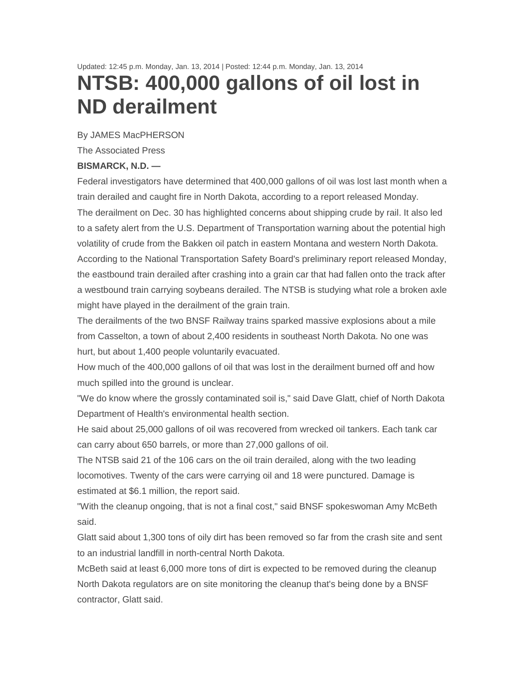Updated: 12:45 p.m. Monday, Jan. 13, 2014 | Posted: 12:44 p.m. Monday, Jan. 13, 2014 **NTSB: 400,000 gallons of oil lost in ND derailment** 

By JAMES MacPHERSON

The Associated Press

## **BISMARCK, N.D. —**

Federal investigators have determined that 400,000 gallons of oil was lost last month when a train derailed and caught fire in North Dakota, according to a report released Monday. The derailment on Dec. 30 has highlighted concerns about shipping crude by rail. It also led to a safety alert from the U.S. Department of Transportation warning about the potential high volatility of crude from the Bakken oil patch in eastern Montana and western North Dakota. According to the National Transportation Safety Board's preliminary report released Monday, the eastbound train derailed after crashing into a grain car that had fallen onto the track after a westbound train carrying soybeans derailed. The NTSB is studying what role a broken axle might have played in the derailment of the grain train.

The derailments of the two BNSF Railway trains sparked massive explosions about a mile from Casselton, a town of about 2,400 residents in southeast North Dakota. No one was hurt, but about 1,400 people voluntarily evacuated.

How much of the 400,000 gallons of oil that was lost in the derailment burned off and how much spilled into the ground is unclear.

"We do know where the grossly contaminated soil is," said Dave Glatt, chief of North Dakota Department of Health's environmental health section.

He said about 25,000 gallons of oil was recovered from wrecked oil tankers. Each tank car can carry about 650 barrels, or more than 27,000 gallons of oil.

The NTSB said 21 of the 106 cars on the oil train derailed, along with the two leading locomotives. Twenty of the cars were carrying oil and 18 were punctured. Damage is estimated at \$6.1 million, the report said.

"With the cleanup ongoing, that is not a final cost," said BNSF spokeswoman Amy McBeth said.

Glatt said about 1,300 tons of oily dirt has been removed so far from the crash site and sent to an industrial landfill in north-central North Dakota.

McBeth said at least 6,000 more tons of dirt is expected to be removed during the cleanup North Dakota regulators are on site monitoring the cleanup that's being done by a BNSF contractor, Glatt said.